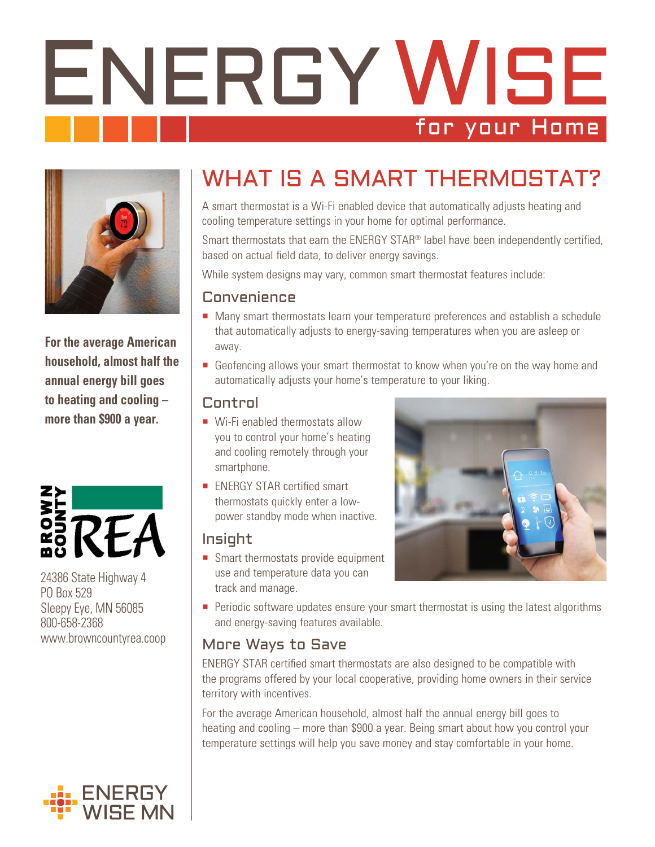# ENERGY WISE for your Home



**For the average American household, almost half the annual energy bill goes to heating and cooling – more than \$900 a year.** 



24386 State Highway 4 PO Box 529 Sleepy Eye, MN 56085 800-658-2368 www.browncountyrea.coop



# WHAT IS A SMART THERMOSTAT?

A smart thermostat is a Wi-Fi enabled device that automatically adjusts heating and cooling temperature settings in your home for optimal performance.

Smart thermostats that earn the ENERGY STAR® label have been independently certified, based on actual field data, to deliver energy savings.

While system designs may vary, common smart thermostat features include:

#### Convenience

- Many smart thermostats learn your temperature preferences and establish a schedule that automatically adjusts to energy-saving temperatures when you are asleep or away.
- Geofencing allows your smart thermostat to know when you're on the way home and automatically adjusts your home's temperature to your liking.

#### Control

- Wi-Fi enabled thermostats allow you to control your home's heating and cooling remotely through your smartphone.
- **ENERGY STAR certified smart** thermostats quickly enter a lowpower standby mode when inactive.

### Insight

Smart thermostats provide equipment use and temperature data you can track and manage.



**Periodic software updates ensure your smart thermostat is using the latest algorithms** and energy-saving features available.

## More Ways to Save

ENERGY STAR certified smart thermostats are also designed to be compatible with the programs offered by your local cooperative, providing home owners in their service territory with incentives.

For the average American household, almost half the annual energy bill goes to heating and cooling – more than \$900 a year. Being smart about how you control your temperature settings will help you save money and stay comfortable in your home.